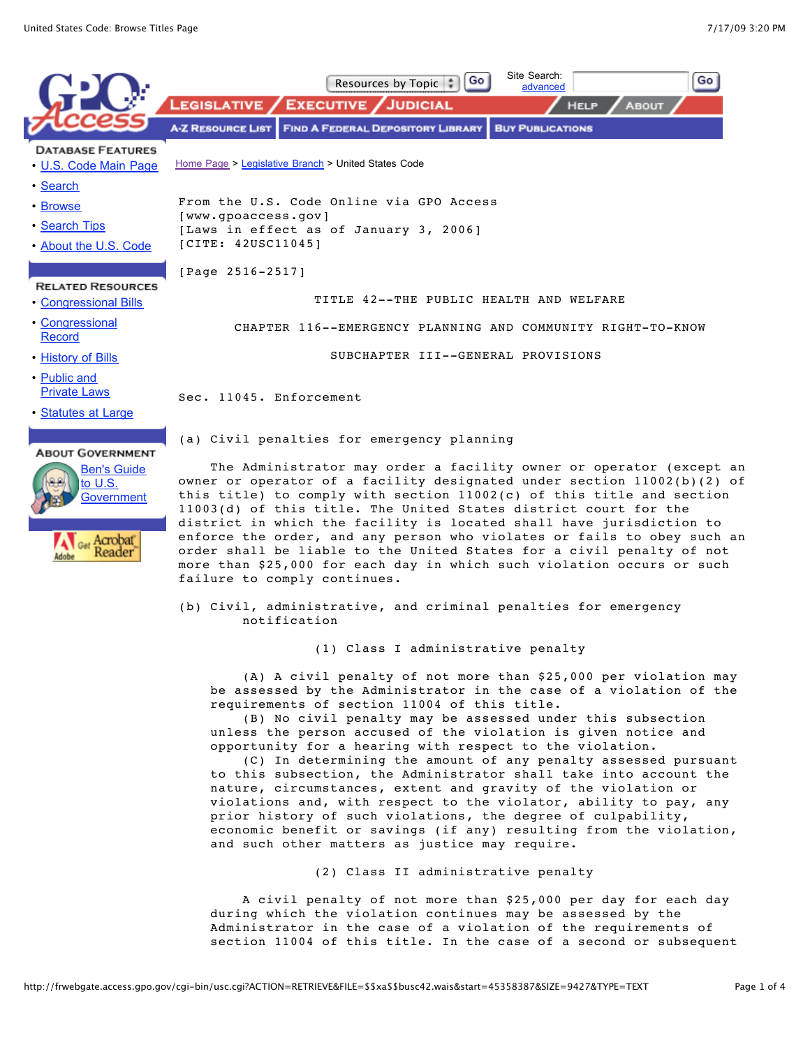

(b) Civil, administrative, and criminal penalties for emergency notification

(1) Class I administrative penalty

 (A) A civil penalty of not more than \$25,000 per violation may be assessed by the Administrator in the case of a violation of the requirements of section 11004 of this title.

 (B) No civil penalty may be assessed under this subsection unless the person accused of the violation is given notice and opportunity for a hearing with respect to the violation.

 (C) In determining the amount of any penalty assessed pursuant to this subsection, the Administrator shall take into account the nature, circumstances, extent and gravity of the violation or violations and, with respect to the violator, ability to pay, any prior history of such violations, the degree of culpability, economic benefit or savings (if any) resulting from the violation, and such other matters as justice may require.

(2) Class II administrative penalty

 A civil penalty of not more than \$25,000 per day for each day during which the violation continues may be assessed by the Administrator in the case of a violation of the requirements of section 11004 of this title. In the case of a second or subsequent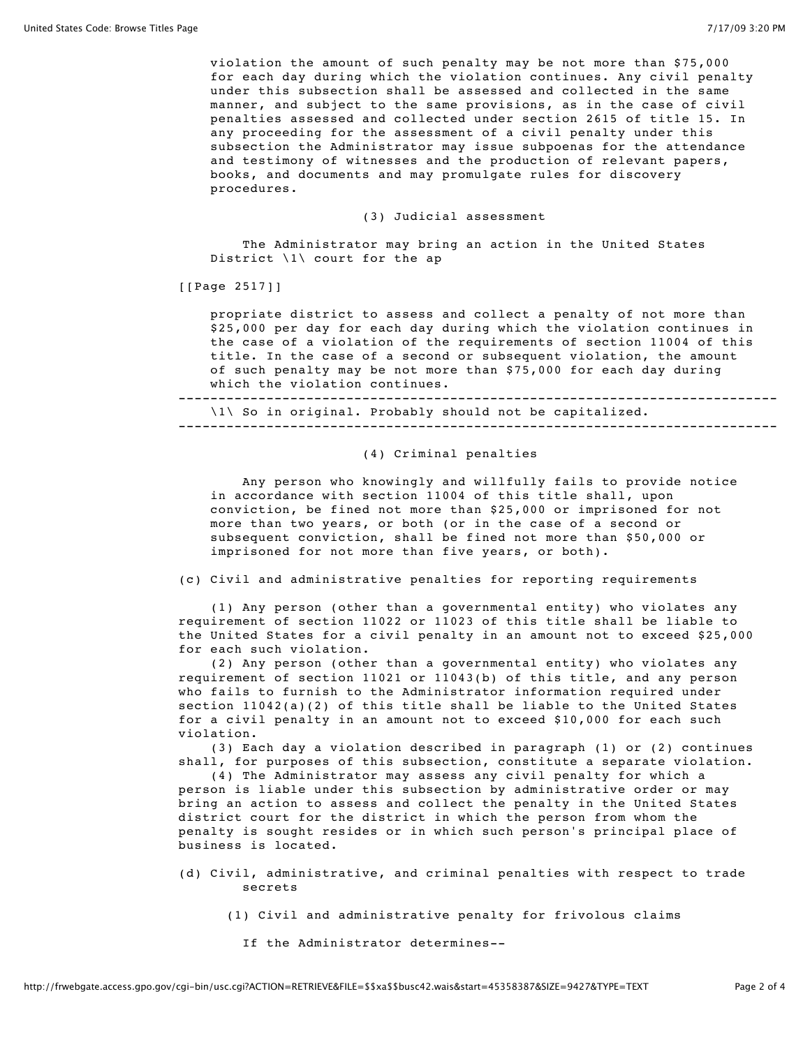violation the amount of such penalty may be not more than \$75,000 for each day during which the violation continues. Any civil penalty under this subsection shall be assessed and collected in the same manner, and subject to the same provisions, as in the case of civil penalties assessed and collected under section 2615 of title 15. In any proceeding for the assessment of a civil penalty under this subsection the Administrator may issue subpoenas for the attendance and testimony of witnesses and the production of relevant papers, books, and documents and may promulgate rules for discovery procedures.

## (3) Judicial assessment

 The Administrator may bring an action in the United States District \1\ court for the ap

[[Page 2517]]

 propriate district to assess and collect a penalty of not more than \$25,000 per day for each day during which the violation continues in the case of a violation of the requirements of section 11004 of this title. In the case of a second or subsequent violation, the amount of such penalty may be not more than \$75,000 for each day during which the violation continues.

--------------------------------------------------------------------------- \1\ So in original. Probably should not be capitalized.

---------------------------------------------------------------------------

## (4) Criminal penalties

 Any person who knowingly and willfully fails to provide notice in accordance with section 11004 of this title shall, upon conviction, be fined not more than \$25,000 or imprisoned for not more than two years, or both (or in the case of a second or subsequent conviction, shall be fined not more than \$50,000 or imprisoned for not more than five years, or both).

(c) Civil and administrative penalties for reporting requirements

 (1) Any person (other than a governmental entity) who violates any requirement of section 11022 or 11023 of this title shall be liable to the United States for a civil penalty in an amount not to exceed \$25,000 for each such violation.

 (2) Any person (other than a governmental entity) who violates any requirement of section 11021 or 11043(b) of this title, and any person who fails to furnish to the Administrator information required under section  $11042(a)(2)$  of this title shall be liable to the United States for a civil penalty in an amount not to exceed \$10,000 for each such violation.

 (3) Each day a violation described in paragraph (1) or (2) continues shall, for purposes of this subsection, constitute a separate violation.

 (4) The Administrator may assess any civil penalty for which a person is liable under this subsection by administrative order or may bring an action to assess and collect the penalty in the United States district court for the district in which the person from whom the penalty is sought resides or in which such person's principal place of business is located.

- (d) Civil, administrative, and criminal penalties with respect to trade secrets
	- (1) Civil and administrative penalty for frivolous claims
		- If the Administrator determines--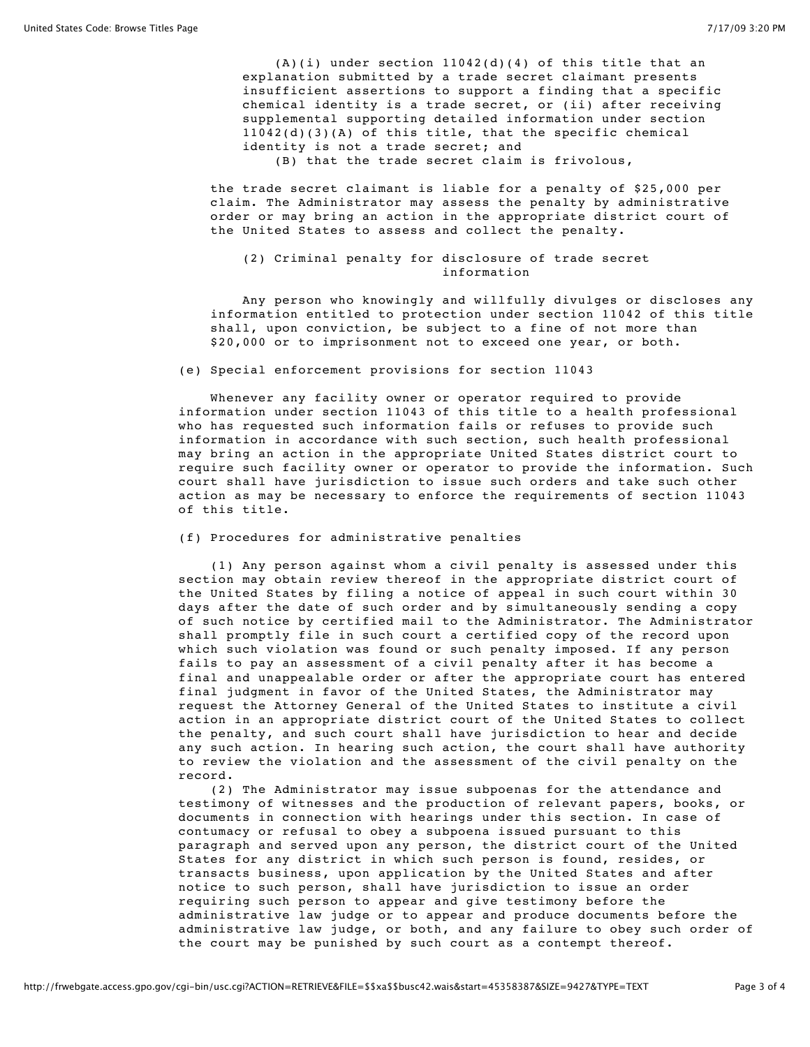$(A)(i)$  under section  $11042(d)(4)$  of this title that an explanation submitted by a trade secret claimant presents insufficient assertions to support a finding that a specific chemical identity is a trade secret, or (ii) after receiving supplemental supporting detailed information under section 11042(d)(3)(A) of this title, that the specific chemical identity is not a trade secret; and

(B) that the trade secret claim is frivolous,

 the trade secret claimant is liable for a penalty of \$25,000 per claim. The Administrator may assess the penalty by administrative order or may bring an action in the appropriate district court of the United States to assess and collect the penalty.

## (2) Criminal penalty for disclosure of trade secret information

 Any person who knowingly and willfully divulges or discloses any information entitled to protection under section 11042 of this title shall, upon conviction, be subject to a fine of not more than \$20,000 or to imprisonment not to exceed one year, or both.

(e) Special enforcement provisions for section 11043

 Whenever any facility owner or operator required to provide information under section 11043 of this title to a health professional who has requested such information fails or refuses to provide such information in accordance with such section, such health professional may bring an action in the appropriate United States district court to require such facility owner or operator to provide the information. Such court shall have jurisdiction to issue such orders and take such other action as may be necessary to enforce the requirements of section 11043 of this title.

(f) Procedures for administrative penalties

 (1) Any person against whom a civil penalty is assessed under this section may obtain review thereof in the appropriate district court of the United States by filing a notice of appeal in such court within 30 days after the date of such order and by simultaneously sending a copy of such notice by certified mail to the Administrator. The Administrator shall promptly file in such court a certified copy of the record upon which such violation was found or such penalty imposed. If any person fails to pay an assessment of a civil penalty after it has become a final and unappealable order or after the appropriate court has entered final judgment in favor of the United States, the Administrator may request the Attorney General of the United States to institute a civil action in an appropriate district court of the United States to collect the penalty, and such court shall have jurisdiction to hear and decide any such action. In hearing such action, the court shall have authority to review the violation and the assessment of the civil penalty on the record.

 (2) The Administrator may issue subpoenas for the attendance and testimony of witnesses and the production of relevant papers, books, or documents in connection with hearings under this section. In case of contumacy or refusal to obey a subpoena issued pursuant to this paragraph and served upon any person, the district court of the United States for any district in which such person is found, resides, or transacts business, upon application by the United States and after notice to such person, shall have jurisdiction to issue an order requiring such person to appear and give testimony before the administrative law judge or to appear and produce documents before the administrative law judge, or both, and any failure to obey such order of the court may be punished by such court as a contempt thereof.